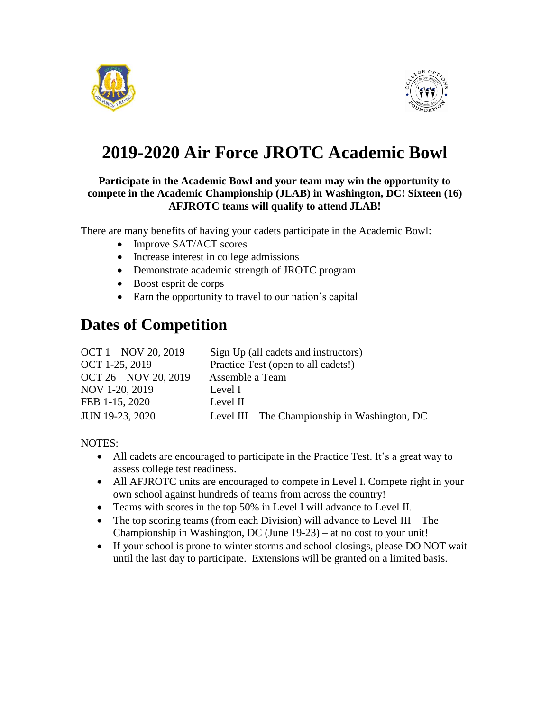



# **2019-2020 Air Force JROTC Academic Bowl**

#### **Participate in the Academic Bowl and your team may win the opportunity to compete in the Academic Championship (JLAB) in Washington, DC! Sixteen (16) AFJROTC teams will qualify to attend JLAB!**

There are many benefits of having your cadets participate in the Academic Bowl:

- Improve SAT/ACT scores
- Increase interest in college admissions
- Demonstrate academic strength of JROTC program
- Boost esprit de corps
- Earn the opportunity to travel to our nation's capital

### **Dates of Competition**

| OCT 1 – NOV 20, 2019  | Sign Up (all cadets and instructors)           |
|-----------------------|------------------------------------------------|
| OCT 1-25, 2019        | Practice Test (open to all cadets!)            |
| OCT 26 - NOV 20, 2019 | Assemble a Team                                |
| NOV 1-20, 2019        | Level I                                        |
| FEB 1-15, 2020        | Level II                                       |
| JUN 19-23, 2020       | Level III – The Championship in Washington, DC |

NOTES:

- All cadets are encouraged to participate in the Practice Test. It's a great way to assess college test readiness.
- All AFJROTC units are encouraged to compete in Level I. Compete right in your own school against hundreds of teams from across the country!
- Teams with scores in the top 50% in Level I will advance to Level II.
- The top scoring teams (from each Division) will advance to Level III The Championship in Washington, DC (June 19-23) – at no cost to your unit!
- If your school is prone to winter storms and school closings, please DO NOT wait until the last day to participate. Extensions will be granted on a limited basis.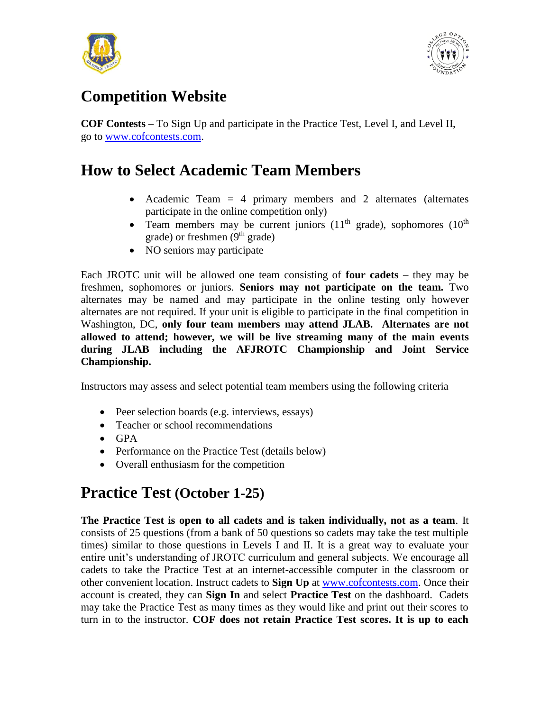



## **Competition Website**

**COF Contests** – To Sign Up and participate in the Practice Test, Level I, and Level II, go to [www.cofcontests.com.](http://www.cofcontests.com/)

#### **How to Select Academic Team Members**

- Academic Team = 4 primary members and 2 alternates (alternates participate in the online competition only)
- Team members may be current juniors  $(11<sup>th</sup> \text{ grade})$ , sophomores  $(10<sup>th</sup> \text{$ grade) or freshmen  $(9<sup>th</sup> \text{ grade})$
- NO seniors may participate

Each JROTC unit will be allowed one team consisting of **four cadets** – they may be freshmen, sophomores or juniors. **Seniors may not participate on the team.** Two alternates may be named and may participate in the online testing only however alternates are not required. If your unit is eligible to participate in the final competition in Washington, DC, **only four team members may attend JLAB. Alternates are not allowed to attend; however, we will be live streaming many of the main events during JLAB including the AFJROTC Championship and Joint Service Championship.**

Instructors may assess and select potential team members using the following criteria –

- Peer selection boards (e.g. interviews, essays)
- Teacher or school recommendations
- GPA
- Performance on the Practice Test (details below)
- Overall enthusiasm for the competition

#### **Practice Test (October 1-25)**

**The Practice Test is open to all cadets and is taken individually, not as a team**. It consists of 25 questions (from a bank of 50 questions so cadets may take the test multiple times) similar to those questions in Levels I and II. It is a great way to evaluate your entire unit's understanding of JROTC curriculum and general subjects. We encourage all cadets to take the Practice Test at an internet-accessible computer in the classroom or other convenient location. Instruct cadets to **Sign Up** at [www.cofcontests.com.](http://www.cofcontests.com/) Once their account is created, they can **Sign In** and select **Practice Test** on the dashboard. Cadets may take the Practice Test as many times as they would like and print out their scores to turn in to the instructor. **COF does not retain Practice Test scores. It is up to each**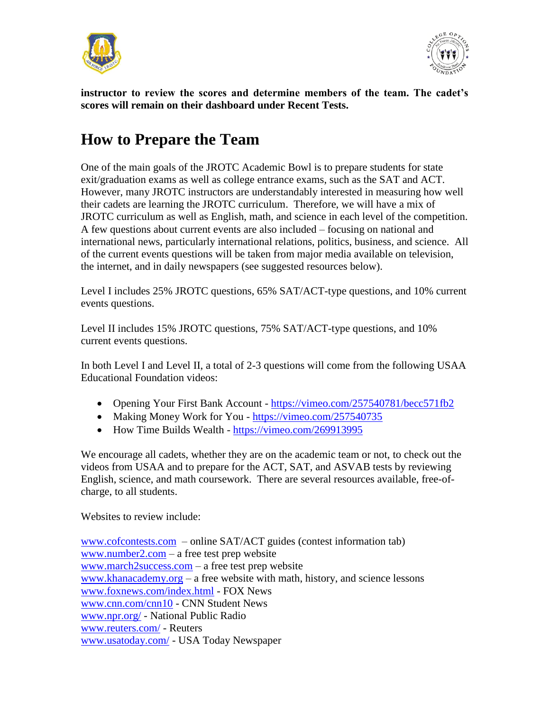



**instructor to review the scores and determine members of the team. The cadet's scores will remain on their dashboard under Recent Tests.**

#### **How to Prepare the Team**

One of the main goals of the JROTC Academic Bowl is to prepare students for state exit/graduation exams as well as college entrance exams, such as the SAT and ACT. However, many JROTC instructors are understandably interested in measuring how well their cadets are learning the JROTC curriculum. Therefore, we will have a mix of JROTC curriculum as well as English, math, and science in each level of the competition. A few questions about current events are also included – focusing on national and international news, particularly international relations, politics, business, and science. All of the current events questions will be taken from major media available on television, the internet, and in daily newspapers (see suggested resources below).

Level I includes 25% JROTC questions, 65% SAT/ACT-type questions, and 10% current events questions.

Level II includes 15% JROTC questions, 75% SAT/ACT-type questions, and 10% current events questions.

In both Level I and Level II, a total of 2-3 questions will come from the following USAA Educational Foundation videos:

- Opening Your First Bank Account <https://vimeo.com/257540781/becc571fb2>
- Making Money Work for You <https://vimeo.com/257540735>
- How Time Builds Wealth <https://vimeo.com/269913995>

We encourage all cadets, whether they are on the academic team or not, to check out the videos from USAA and to prepare for the ACT, SAT, and ASVAB tests by reviewing English, science, and math coursework. There are several resources available, free-ofcharge, to all students.

Websites to review include:

[www.cofcontests.com](http://www.cofcontests.com/) – online SAT/ACT guides (contest information tab) [www.number2.com](http://www.number2.com/) – a free test prep website [www.march2success.com](http://www.march2success.com/) – a free test prep website [www.khanacademy.org](http://www.khanacademy.org/) – a free website with math, history, and science lessons [www.foxnews.com/index.html](http://www.foxnews.com/index.html) - FOX News [www.cnn.com/cnn10](http://www.cnn.com/cnn10) - CNN Student News [www.npr.org/](http://www.npr.org/) - National Public Radio [www.reuters.com/](http://www.reuters.com/) - Reuters [www.usatoday.com/](http://www.usatoday.com/) - USA Today Newspaper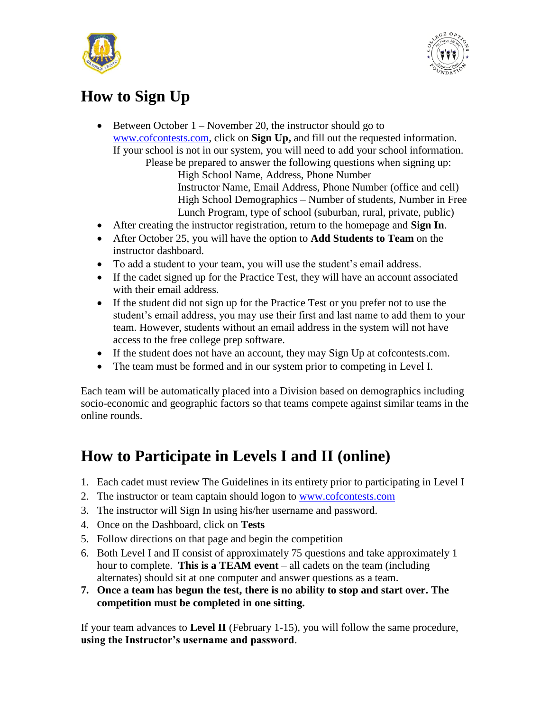



# **How to Sign Up**

- Between October  $1 -$  November 20, the instructor should go to [www.cofcontests.com,](http://www.cofcontests.com/) click on **Sign Up,** and fill out the requested information. If your school is not in our system, you will need to add your school information. Please be prepared to answer the following questions when signing up: High School Name, Address, Phone Number Instructor Name, Email Address, Phone Number (office and cell) High School Demographics – Number of students, Number in Free Lunch Program, type of school (suburban, rural, private, public)
- After creating the instructor registration, return to the homepage and **Sign In**.
- After October 25, you will have the option to **Add Students to Team** on the instructor dashboard.
- To add a student to your team, you will use the student's email address.
- If the cadet signed up for the Practice Test, they will have an account associated with their email address.
- If the student did not sign up for the Practice Test or you prefer not to use the student's email address, you may use their first and last name to add them to your team. However, students without an email address in the system will not have access to the free college prep software.
- If the student does not have an account, they may Sign Up at cofcontests.com.
- The team must be formed and in our system prior to competing in Level I.

Each team will be automatically placed into a Division based on demographics including socio-economic and geographic factors so that teams compete against similar teams in the online rounds.

## **How to Participate in Levels I and II (online)**

- 1. Each cadet must review The Guidelines in its entirety prior to participating in Level I
- 2. The instructor or team captain should logon to [www.cofcontests.com](http://www.cofcontests.com/)
- 3. The instructor will Sign In using his/her username and password.
- 4. Once on the Dashboard, click on **Tests**
- 5. Follow directions on that page and begin the competition
- 6. Both Level I and II consist of approximately 75 questions and take approximately 1 hour to complete. **This is a TEAM event** – all cadets on the team (including alternates) should sit at one computer and answer questions as a team.
- **7. Once a team has begun the test, there is no ability to stop and start over. The competition must be completed in one sitting.**

If your team advances to **Level II** (February 1-15), you will follow the same procedure, **using the Instructor's username and password**.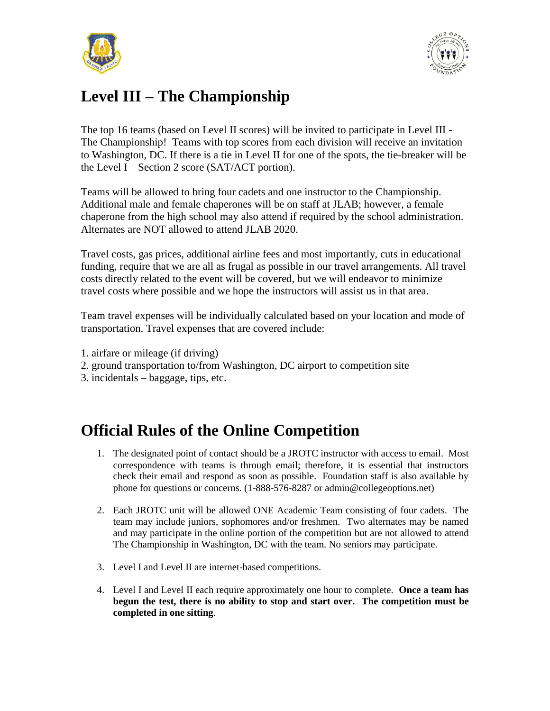



# **Level III – The Championship**

The top 16 teams (based on Level II scores) will be invited to participate in Level III - The Championship! Teams with top scores from each division will receive an invitation to Washington, DC. If there is a tie in Level II for one of the spots, the tie-breaker will be the Level I – Section 2 score (SAT/ACT portion).

Teams will be allowed to bring four cadets and one instructor to the Championship. Additional male and female chaperones will be on staff at JLAB; however, a female chaperone from the high school may also attend if required by the school administration. Alternates are NOT allowed to attend JLAB 2020.

Travel costs, gas prices, additional airline fees and most importantly, cuts in educational funding, require that we are all as frugal as possible in our travel arrangements. All travel costs directly related to the event will be covered, but we will endeavor to minimize travel costs where possible and we hope the instructors will assist us in that area.

Team travel expenses will be individually calculated based on your location and mode of transportation. Travel expenses that are covered include:

- 1. airfare or mileage (if driving)
- 2. ground transportation to/from Washington, DC airport to competition site
- 3. incidentals baggage, tips, etc.

#### **Official Rules of the Online Competition**

- 1. The designated point of contact should be a JROTC instructor with access to email. Most correspondence with teams is through email; therefore, it is essential that instructors check their email and respond as soon as possible. Foundation staff is also available by phone for questions or concerns. (1-888-576-8287 or admin@collegeoptions.net)
- 2. Each JROTC unit will be allowed ONE Academic Team consisting of four cadets. The team may include juniors, sophomores and/or freshmen. Two alternates may be named and may participate in the online portion of the competition but are not allowed to attend The Championship in Washington, DC with the team. No seniors may participate.
- 3. Level I and Level II are internet-based competitions.
- 4. Level I and Level II each require approximately one hour to complete. **Once a team has begun the test, there is no ability to stop and start over. The competition must be completed in one sitting**.